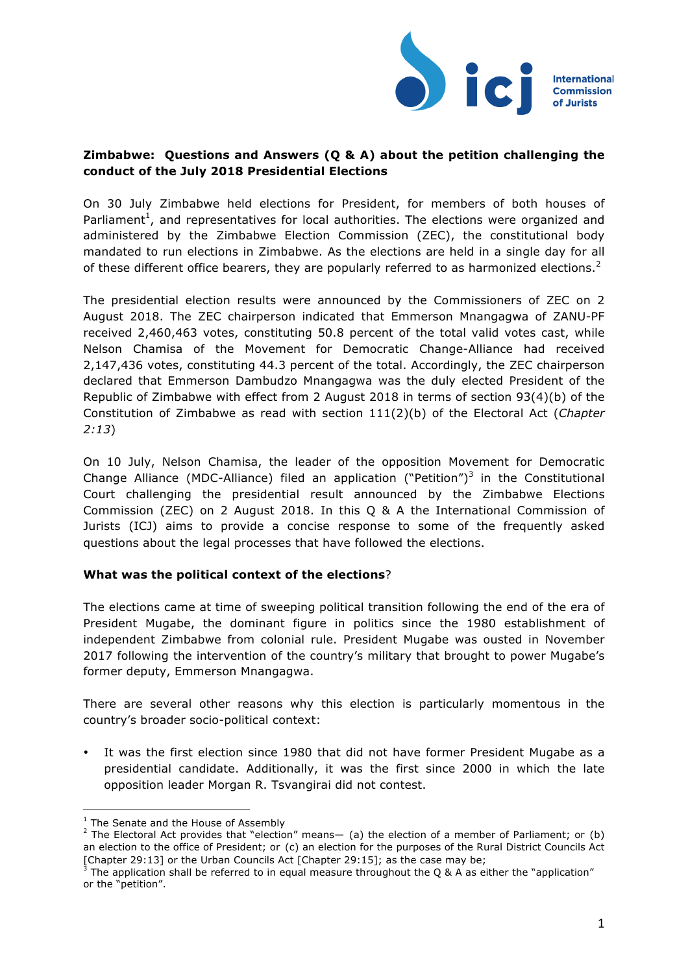

### **Zimbabwe: Questions and Answers (Q & A) about the petition challenging the conduct of the July 2018 Presidential Elections**

On 30 July Zimbabwe held elections for President, for members of both houses of Parliament<sup>1</sup>, and representatives for local authorities. The elections were organized and administered by the Zimbabwe Election Commission (ZEC), the constitutional body mandated to run elections in Zimbabwe. As the elections are held in a single day for all of these different office bearers, they are popularly referred to as harmonized elections.<sup>2</sup>

The presidential election results were announced by the Commissioners of ZEC on 2 August 2018. The ZEC chairperson indicated that Emmerson Mnangagwa of ZANU-PF received 2,460,463 votes, constituting 50.8 percent of the total valid votes cast, while Nelson Chamisa of the Movement for Democratic Change-Alliance had received 2,147,436 votes, constituting 44.3 percent of the total. Accordingly, the ZEC chairperson declared that Emmerson Dambudzo Mnangagwa was the duly elected President of the Republic of Zimbabwe with effect from 2 August 2018 in terms of section 93(4)(b) of the Constitution of Zimbabwe as read with section 111(2)(b) of the Electoral Act (*Chapter 2:13*)

On 10 July, Nelson Chamisa, the leader of the opposition Movement for Democratic Change Alliance (MDC-Alliance) filed an application ("Petition")<sup>3</sup> in the Constitutional Court challenging the presidential result announced by the Zimbabwe Elections Commission (ZEC) on 2 August 2018. In this Q & A the International Commission of Jurists (ICJ) aims to provide a concise response to some of the frequently asked questions about the legal processes that have followed the elections.

## **What was the political context of the elections**?

The elections came at time of sweeping political transition following the end of the era of President Mugabe, the dominant figure in politics since the 1980 establishment of independent Zimbabwe from colonial rule. President Mugabe was ousted in November 2017 following the intervention of the country's military that brought to power Mugabe's former deputy, Emmerson Mnangagwa.

There are several other reasons why this election is particularly momentous in the country's broader socio-political context:

It was the first election since 1980 that did not have former President Mugabe as a presidential candidate. Additionally, it was the first since 2000 in which the late opposition leader Morgan R. Tsvangirai did not contest.

 

 $<sup>1</sup>$  The Senate and the House of Assembly</sup>

<sup>&</sup>lt;sup>2</sup> The Electoral Act provides that "election" means— (a) the election of a member of Parliament; or (b) an election to the office of President; or (c) an election for the purposes of the Rural District Councils Act [Chapter 29:13] or the Urban Councils Act [Chapter 29:15]; as the case may be;<br><sup>3</sup> The application shall be referred to in equal measure throughout the Q & A as either the "application"

or the "petition".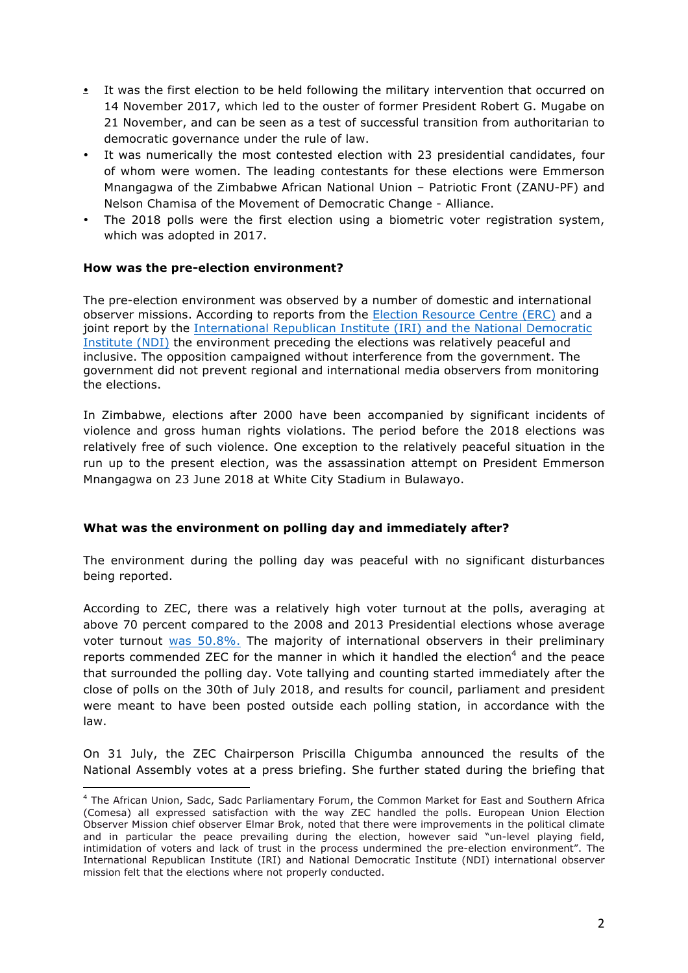- It was the first election to be held following the military intervention that occurred on 14 November 2017, which led to the ouster of former President Robert G. Mugabe on 21 November, and can be seen as a test of successful transition from authoritarian to democratic governance under the rule of law.
- It was numerically the most contested election with 23 presidential candidates, four of whom were women. The leading contestants for these elections were Emmerson Mnangagwa of the Zimbabwe African National Union – Patriotic Front (ZANU-PF) and Nelson Chamisa of the Movement of Democratic Change - Alliance.
- The 2018 polls were the first election using a biometric voter registration system, which was adopted in 2017.

# **How was the pre-election environment?**

 

The pre-election environment was observed by a number of domestic and international observer missions. According to reports from the [Election Resource Centre \(ERC\)](https://erczim.org/2018/07/30/zimbabwe-pre-election-assessment-report-2018/) and a joint report by the [International Republican Institute \(IRI\) and the National Democratic](http://www.iri.org/sites/default/files/iri_ndi_pre-election_assessment_mission_statement_20180608.pdf)  [Institute \(NDI\)](http://www.iri.org/sites/default/files/iri_ndi_pre-election_assessment_mission_statement_20180608.pdf) the environment preceding the elections was relatively peaceful and inclusive. The opposition campaigned without interference from the government. The government did not prevent regional and international media observers from monitoring the elections.

In Zimbabwe, elections after 2000 have been accompanied by significant incidents of violence and gross human rights violations. The period before the 2018 elections was relatively free of such violence. One exception to the relatively peaceful situation in the run up to the present election, was the assassination attempt on President Emmerson Mnangagwa on 23 June 2018 at White City Stadium in Bulawayo.

## **What was the environment on polling day and immediately after?**

The environment during the polling day was peaceful with no significant disturbances being reported.

According to ZEC, there was a relatively high voter turnout at the polls, averaging at above 70 percent compared to the 2008 and 2013 Presidential elections whose average voter turnout [was 50.8%.](http://www.electionguide.org/countries/id/240/) The majority of international observers in their preliminary reports commended ZEC for the manner in which it handled the election<sup>4</sup> and the peace that surrounded the polling day. Vote tallying and counting started immediately after the close of polls on the 30th of July 2018, and results for council, parliament and president were meant to have been posted outside each polling station, in accordance with the law.

On 31 July, the ZEC Chairperson Priscilla Chigumba announced the results of the National Assembly votes at a press briefing. She further stated during the briefing that

<sup>4</sup> The African Union, Sadc, Sadc Parliamentary Forum, the Common Market for East and Southern Africa (Comesa) all expressed satisfaction with the way ZEC handled the polls. European Union Election Observer Mission chief observer Elmar Brok, noted that there were improvements in the political climate and in particular the peace prevailing during the election, however said "un-level playing field, intimidation of voters and lack of trust in the process undermined the pre-election environment". The International Republican Institute (IRI) and National Democratic Institute (NDI) international observer mission felt that the elections where not properly conducted.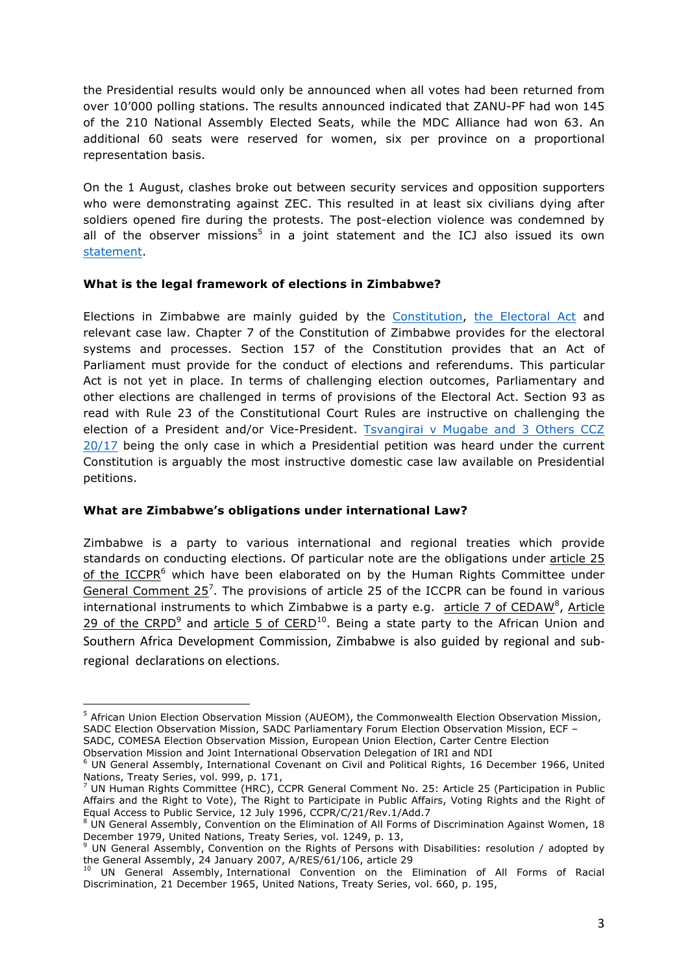the Presidential results would only be announced when all votes had been returned from over 10'000 polling stations. The results announced indicated that ZANU-PF had won 145 of the 210 National Assembly Elected Seats, while the MDC Alliance had won 63. An additional 60 seats were reserved for women, six per province on a proportional representation basis.

On the 1 August, clashes broke out between security services and opposition supporters who were demonstrating against ZEC. This resulted in at least six civilians dying after soldiers opened fire during the protests. The post-election violence was condemned by all of the observer missions<sup>5</sup> in a joint statement and the ICJ also issued its own [statement](https://www.icj.org/zimbabwe-end-violence-restore-the-rule-of-law-and-respect-for-human-rights/).

## **What is the legal framework of elections in Zimbabwe?**

Elections in Zimbabwe are mainly guided by the [Constitution](http://www.veritaszim.net/node/315), [the Electoral Act](http://www.veritaszim.net/node/2424) and relevant case law. Chapter 7 of the Constitution of Zimbabwe provides for the electoral systems and processes. Section 157 of the Constitution provides that an Act of Parliament must provide for the conduct of elections and referendums. This particular Act is not yet in place. In terms of challenging election outcomes, Parliamentary and other elections are challenged in terms of provisions of the Electoral Act. Section 93 as read with Rule 23 of the Constitutional Court Rules are instructive on challenging the election of a President and/or Vice-President. [Tsvangirai v Mugabe and 3 Others CCZ](https://zimlii.org/zw/judgment/constitutional-court/2017/20)  [20/17](https://zimlii.org/zw/judgment/constitutional-court/2017/20) being the only case in which a Presidential petition was heard under the current Constitution is arguably the most instructive domestic case law available on Presidential petitions.

## **What are Zimbabwe's obligations under international Law?**

Zimbabwe is a party to various international and regional treaties which provide standards on conducting elections. Of particular note are the obligations under [article 25](https://www.ohchr.org/Documents/ProfessionalInterest/ccpr.pdf) of the [ICCPR](https://www.ohchr.org/Documents/ProfessionalInterest/ccpr.pdf)<sup>6</sup> which have been elaborated on by the Human Rights Committee under [General Comment 25](http://www.equalrightstrust.org/ertdocumentbank/general comment 25.pdf)<sup>7</sup>. The provisions of article 25 of the ICCPR can be found in various international instruments to which Zimbabwe is a party e.g. [article 7 of CEDAW](http://www.un.org/womenwatch/daw/cedaw/cedaw27/tun3-4.pdf)<sup>8</sup>, [Article](http://www.un.org/disabilities/documents/convention/convoptprot-e.pdf) [29 of the CRPD](http://www.un.org/disabilities/documents/convention/convoptprot-e.pdf)<sup>9</sup> and [article 5 of CERD](https://www.ohchr.org/Documents/ProfessionalInterest/cerd.pdf)<sup>10</sup>. Being a state party to the African Union and Southern Africa Development Commission, Zimbabwe is also guided by regional and [sub](https://www.eisa.org.za/pdf/sadc2015principles.pdf)regional [declarations](https://www.eisa.org.za/pdf/sadc2015principles.pdf) on elections.

 <sup>5</sup> African Union Election Observation Mission (AUEOM), the Commonwealth Election Observation Mission, SADC Election Observation Mission, SADC Parliamentary Forum Election Observation Mission, ECF – SADC, COMESA Election Observation Mission, European Union Election, Carter Centre Election

Observation Mission and Joint International Observation Delegation of IRI and NDI

<sup>6</sup> UN General Assembly, International Covenant on Civil and Political Rights, 16 December 1966, United Nations, Treaty Series, vol. 999, p. 171,

UN Human Rights Committee (HRC), CCPR General Comment No. 25: Article 25 (Participation in Public Affairs and the Right to Vote), The Right to Participate in Public Affairs, Voting Rights and the Right of Equal Access to Public Service, 12 July 1996, CCPR/C/21/Rev.1/Add.7

UN General Assembly, Convention on the Elimination of All Forms of Discrimination Against Women, 18 December 1979, United Nations, Treaty Series, vol. 1249, p. 13,

 $^9$  UN General Assembly, Convention on the Rights of Persons with Disabilities: resolution / adopted by the General Assembly, 24 January 2007, A/RES/61/106, article 29

<sup>10</sup> UN General Assembly, International Convention on the Elimination of All Forms of Racial Discrimination, 21 December 1965, United Nations, Treaty Series, vol. 660, p. 195,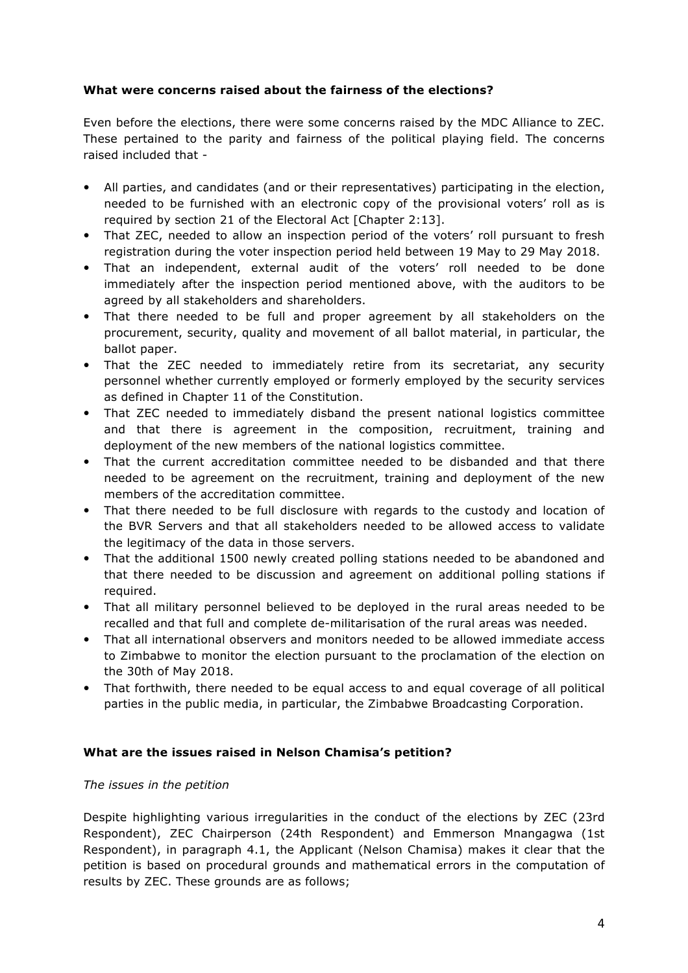## **What were concerns raised about the fairness of the elections?**

Even before the elections, there were some concerns raised by the MDC Alliance to ZEC. These pertained to the parity and fairness of the political playing field. The concerns raised included that -

- All parties, and candidates (and or their representatives) participating in the election, needed to be furnished with an electronic copy of the provisional voters' roll as is required by section 21 of the Electoral Act [Chapter 2:13].
- That ZEC, needed to allow an inspection period of the voters' roll pursuant to fresh registration during the voter inspection period held between 19 May to 29 May 2018.
- That an independent, external audit of the voters' roll needed to be done immediately after the inspection period mentioned above, with the auditors to be agreed by all stakeholders and shareholders.
- That there needed to be full and proper agreement by all stakeholders on the procurement, security, quality and movement of all ballot material, in particular, the ballot paper.
- That the ZEC needed to immediately retire from its secretariat, any security personnel whether currently employed or formerly employed by the security services as defined in Chapter 11 of the Constitution.
- That ZEC needed to immediately disband the present national logistics committee and that there is agreement in the composition, recruitment, training and deployment of the new members of the national logistics committee.
- That the current accreditation committee needed to be disbanded and that there needed to be agreement on the recruitment, training and deployment of the new members of the accreditation committee.
- That there needed to be full disclosure with regards to the custody and location of the BVR Servers and that all stakeholders needed to be allowed access to validate the legitimacy of the data in those servers.
- That the additional 1500 newly created polling stations needed to be abandoned and that there needed to be discussion and agreement on additional polling stations if required.
- That all military personnel believed to be deployed in the rural areas needed to be recalled and that full and complete de-militarisation of the rural areas was needed.
- That all international observers and monitors needed to be allowed immediate access to Zimbabwe to monitor the election pursuant to the proclamation of the election on the 30th of May 2018.
- That forthwith, there needed to be equal access to and equal coverage of all political parties in the public media, in particular, the Zimbabwe Broadcasting Corporation.

## **What are the issues raised in Nelson Chamisa's petition?**

## *The issues in the petition*

Despite highlighting various irregularities in the conduct of the elections by ZEC (23rd Respondent), ZEC Chairperson (24th Respondent) and Emmerson Mnangagwa (1st Respondent), in paragraph 4.1, the Applicant (Nelson Chamisa) makes it clear that the petition is based on procedural grounds and mathematical errors in the computation of results by ZEC. These grounds are as follows;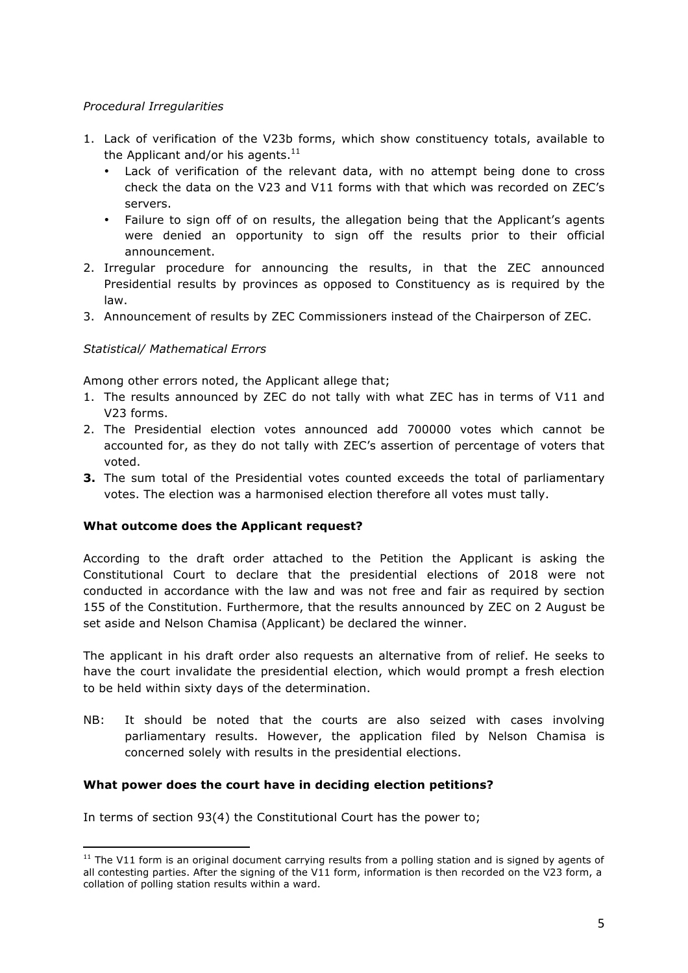## *Procedural Irregularities*

- 1. Lack of verification of the V23b forms, which show constituency totals, available to the Applicant and/or his agents. $^{11}$ 
	- Lack of verification of the relevant data, with no attempt being done to cross check the data on the V23 and V11 forms with that which was recorded on ZEC's servers.
	- Failure to sign off of on results, the allegation being that the Applicant's agents were denied an opportunity to sign off the results prior to their official announcement.
- 2. Irregular procedure for announcing the results, in that the ZEC announced Presidential results by provinces as opposed to Constituency as is required by the law.
- 3. Announcement of results by ZEC Commissioners instead of the Chairperson of ZEC.

## *Statistical/ Mathematical Errors*

 

Among other errors noted, the Applicant allege that;

- 1. The results announced by ZEC do not tally with what ZEC has in terms of V11 and V23 forms.
- 2. The Presidential election votes announced add 700000 votes which cannot be accounted for, as they do not tally with ZEC's assertion of percentage of voters that voted.
- **3.** The sum total of the Presidential votes counted exceeds the total of parliamentary votes. The election was a harmonised election therefore all votes must tally.

#### **What outcome does the Applicant request?**

According to the draft order attached to the Petition the Applicant is asking the Constitutional Court to declare that the presidential elections of 2018 were not conducted in accordance with the law and was not free and fair as required by section 155 of the Constitution. Furthermore, that the results announced by ZEC on 2 August be set aside and Nelson Chamisa (Applicant) be declared the winner.

The applicant in his draft order also requests an alternative from of relief. He seeks to have the court invalidate the presidential election, which would prompt a fresh election to be held within sixty days of the determination.

NB: It should be noted that the courts are also seized with cases involving parliamentary results. However, the application filed by Nelson Chamisa is concerned solely with results in the presidential elections.

#### **What power does the court have in deciding election petitions?**

In terms of section 93(4) the Constitutional Court has the power to;

 $11$  The V11 form is an original document carrying results from a polling station and is signed by agents of all contesting parties. After the signing of the V11 form, information is then recorded on the V23 form, a collation of polling station results within a ward.